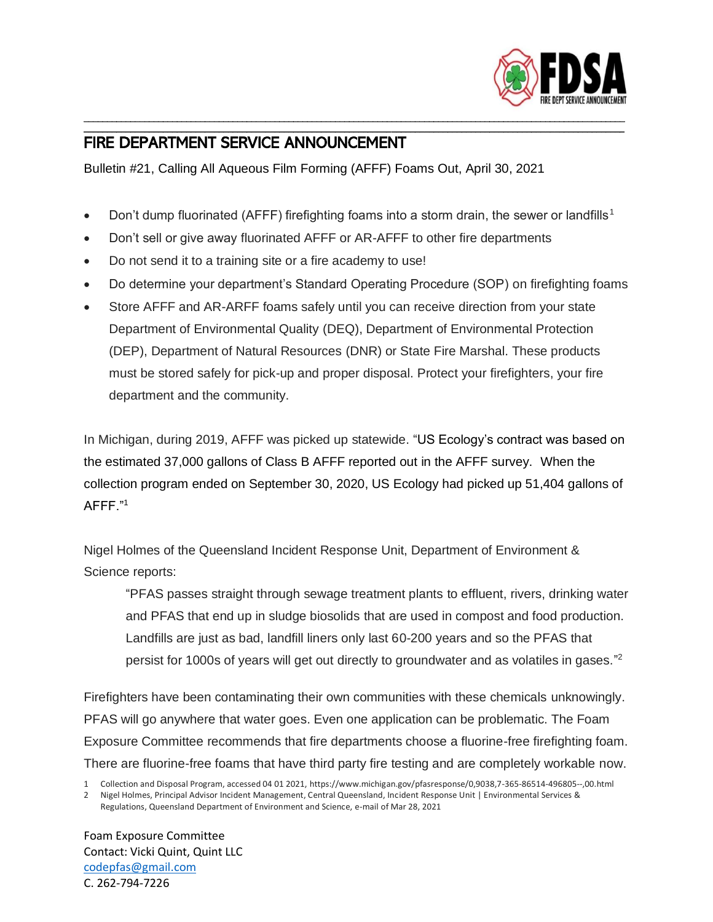

## FIRE DEPARTMENT SERVICE ANNOUNCEMENT

Bulletin #21, Calling All Aqueous Film Forming (AFFF) Foams Out, April 30, 2021

• Don't dump fluorinated (AFFF) firefighting foams into a storm drain, the sewer or landfills<sup>1</sup>

\_\_\_\_\_\_\_\_\_\_\_\_\_\_\_\_\_\_\_\_\_\_\_\_\_\_\_\_\_\_\_\_\_\_\_\_\_\_\_\_\_\_\_\_\_\_\_\_\_\_\_\_\_\_\_\_\_\_\_\_\_\_\_\_\_\_\_\_\_\_\_\_\_\_\_\_\_\_\_\_\_\_\_\_\_\_\_\_\_\_\_\_\_\_\_\_\_\_\_\_\_\_\_\_\_\_\_\_\_\_\_\_\_\_\_\_ \_\_\_\_\_\_\_\_\_\_\_\_\_\_\_\_\_\_\_\_\_\_\_\_\_\_\_\_\_\_\_\_\_\_\_\_\_\_\_\_\_\_\_\_\_\_\_\_\_\_\_\_\_\_\_\_\_\_\_\_\_\_\_\_\_\_\_\_\_\_\_\_\_\_\_\_\_\_\_\_\_\_\_\_\_\_\_\_\_\_\_\_\_\_\_\_\_\_\_\_\_\_\_\_\_\_\_\_\_\_\_\_\_\_\_\_

- Don't sell or give away fluorinated AFFF or AR-AFFF to other fire departments
- Do not send it to a training site or a fire academy to use!
- Do determine your department's Standard Operating Procedure (SOP) on firefighting foams
- Store AFFF and AR-ARFF foams safely until you can receive direction from your state Department of Environmental Quality (DEQ), Department of Environmental Protection (DEP), Department of Natural Resources (DNR) or State Fire Marshal. These products must be stored safely for pick-up and proper disposal. Protect your firefighters, your fire department and the community.

In Michigan, during 2019, AFFF was picked up statewide. "US Ecology's contract was based on the estimated 37,000 gallons of Class B AFFF reported out in the AFFF survey. When the collection program ended on September 30, 2020, US Ecology had picked up 51,404 gallons of AFFF."<sup>1</sup>

Nigel Holmes of the Queensland Incident Response Unit, Department of Environment & Science reports:

"PFAS passes straight through sewage treatment plants to effluent, rivers, drinking water and PFAS that end up in sludge biosolids that are used in compost and food production. Landfills are just as bad, landfill liners only last 60-200 years and so the PFAS that persist for 1000s of years will get out directly to groundwater and as volatiles in gases." 2

Firefighters have been contaminating their own communities with these chemicals unknowingly. PFAS will go anywhere that water goes. Even one application can be problematic. The Foam Exposure Committee recommends that fire departments choose a fluorine-free firefighting foam. There are fluorine-free foams that have third party fire testing and are completely workable now.

Foam Exposure Committee Contact: Vicki Quint, Quint LLC [codepfas@gmail.com](mailto:codepfas@gmail.com) C. 262-794-7226

<sup>1</sup> Collection and Disposal Program, accessed 04 01 2021, https://www.michigan.gov/pfasresponse/0,9038,7-365-86514-496805--,00.html

<sup>2</sup> Nigel Holmes, Principal Advisor Incident Management, Central Queensland, Incident Response Unit | Environmental Services & Regulations, Queensland Department of Environment and Science, e-mail of Mar 28, 2021